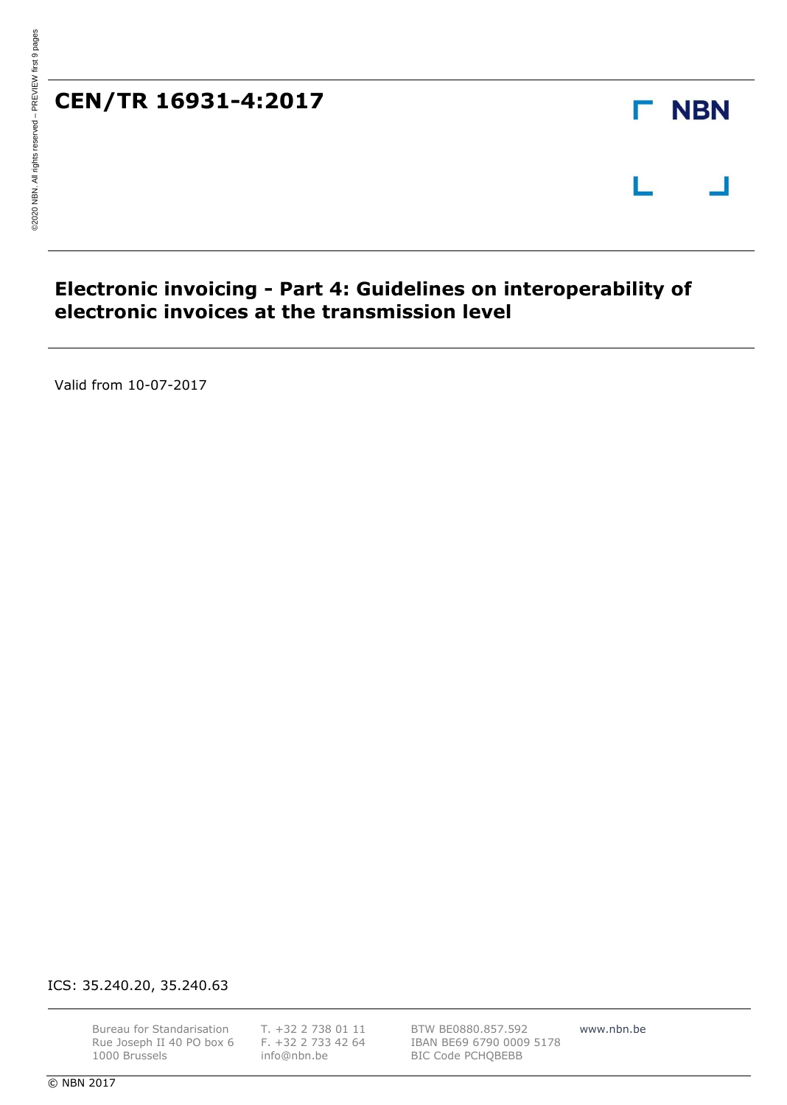# @2020 NBN. All rights reserved - PREVIEW first 9 pages ©2020 NBN. All rights reserved – PREVIEW first 9 pages

#### **CEN/TR 16931-4:2017**



#### **Electronic invoicing - Part 4: Guidelines on interoperability of electronic invoices at the transmission level**

Valid from 10-07-2017

ICS: 35.240.20, 35.240.63

Bureau for Standarisation Rue Joseph II 40 PO box 6 1000 Brussels

T. +32 2 738 01 11 F. +32 2 733 42 64 [info@nbn.be](mailto:info@nbn.be)

BTW BE0880.857.592 IBAN BE69 6790 0009 5178 BIC Code PCHQBEBB

www.nbn.be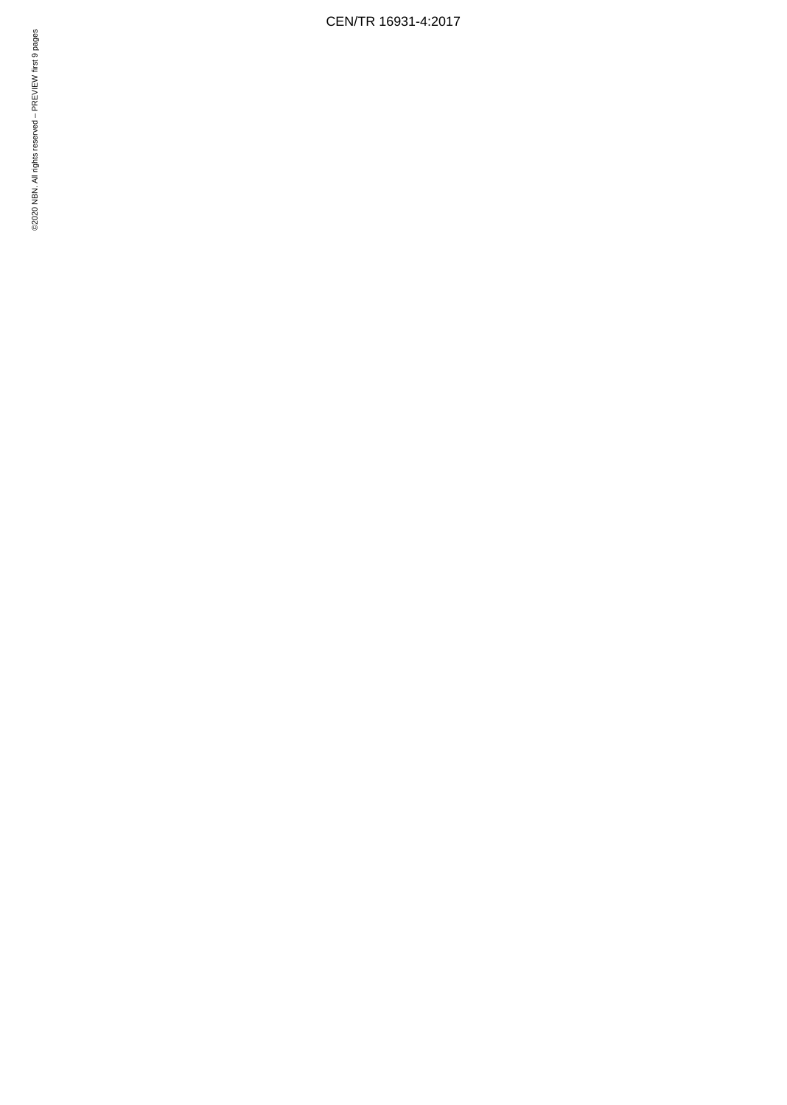CEN/TR 16931-4:2017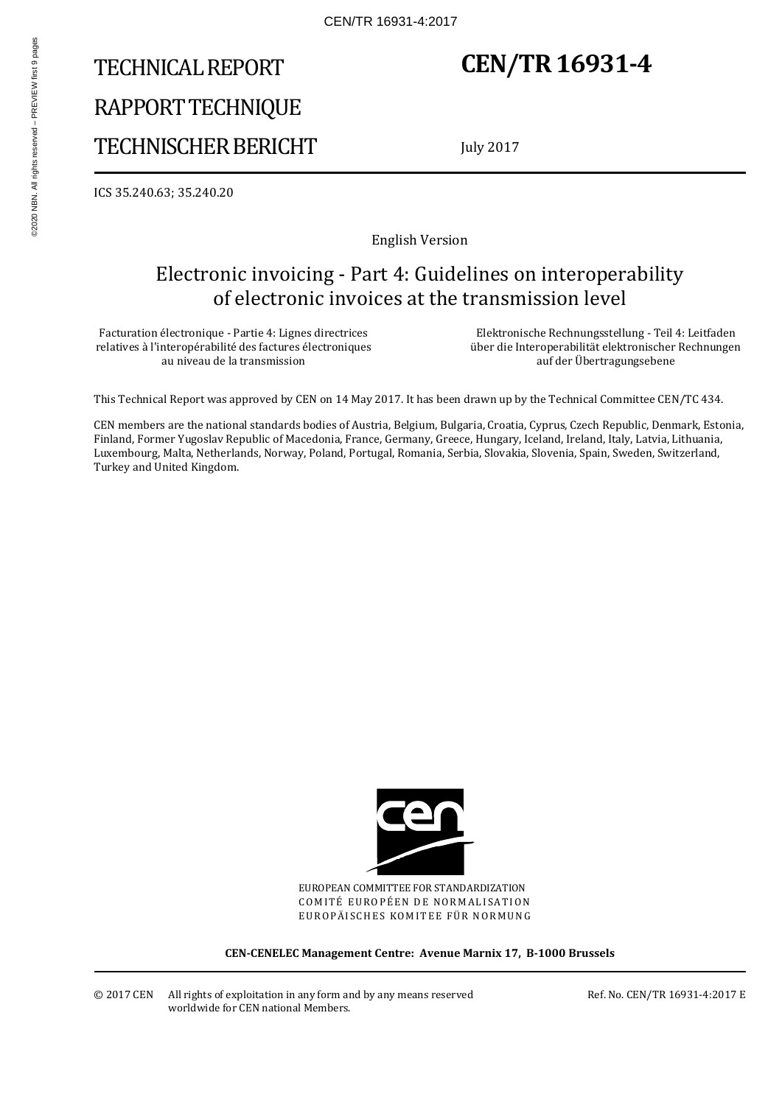## TECHNICAL REPORT RAPPORT TECHNIQUE TECHNISCHER BERICHT

### **CEN/TR 16931-4**

July 2017

ICS 35.240.63; 35.240.20

English Version

#### Electronic invoicing - Part 4: Guidelines on interoperability of electronic invoices at the transmission level

Facturation électronique - Partie 4: Lignes directrices relatives à l'interopérabilité des factures électroniques au niveau de la transmission

 Elektronische Rechnungsstellung - Teil 4: Leitfaden über die Interoperabilität elektronischer Rechnungen auf der Übertragungsebene

This Technical Report was approved by CEN on 14 May 2017. It has been drawn up by the Technical Committee CEN/TC 434.

CEN members are the national standards bodies of Austria, Belgium, Bulgaria, Croatia, Cyprus, Czech Republic, Denmark, Estonia, Finland, Former Yugoslav Republic of Macedonia, France, Germany, Greece, Hungary, Iceland, Ireland, Italy, Latvia, Lithuania, Luxembourg, Malta, Netherlands, Norway, Poland, Portugal, Romania, Serbia, Slovakia, Slovenia, Spain, Sweden, Switzerland, Turkey and United Kingdom.



EUROPEAN COMMITTEE FOR STANDARDIZATION COMITÉ EUROPÉEN DE NORMALISATION EUROPÄISCHES KOMITEE FÜR NORMUNG

**CEN-CENELEC Management Centre: Avenue Marnix 17, B-1000 Brussels** 

© 2017 CEN All rights of exploitation in any form and by any means reserved worldwide for CEN national Members.

Ref. No. CEN/TR 16931-4:2017 E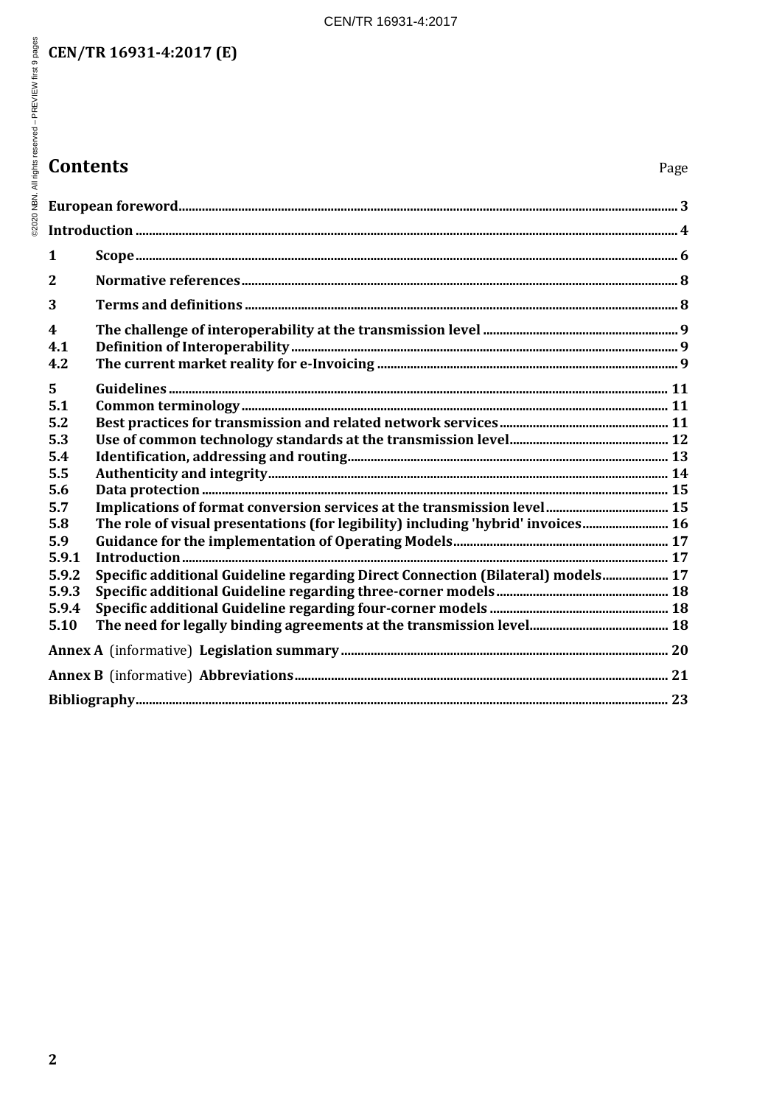#### CEN/TR 16931-4:2017

#### CEN/TR 16931-4:2017 (E)

#### **Contents**

| ${\bf European\; foreword.}\label{prop:2} 3$ |                                                                                  |  |
|----------------------------------------------|----------------------------------------------------------------------------------|--|
|                                              |                                                                                  |  |
| $\mathbf{1}$                                 |                                                                                  |  |
| $\mathbf{2}$                                 |                                                                                  |  |
| 3                                            |                                                                                  |  |
| $\boldsymbol{4}$<br>4.1<br>4.2               |                                                                                  |  |
| 5<br>5.1                                     |                                                                                  |  |
| 5.2<br>5.3                                   |                                                                                  |  |
| 5.4                                          |                                                                                  |  |
| 5.5<br>5.6                                   |                                                                                  |  |
| 5.7<br>5.8                                   | The role of visual presentations (for legibility) including 'hybrid' invoices 16 |  |
| 5.9<br>5.9.1                                 |                                                                                  |  |
| 5.9.2<br>5.9.3                               | Specific additional Guideline regarding Direct Connection (Bilateral) models 17  |  |
| 5.9.4<br>5.10                                |                                                                                  |  |
|                                              |                                                                                  |  |
|                                              |                                                                                  |  |
|                                              |                                                                                  |  |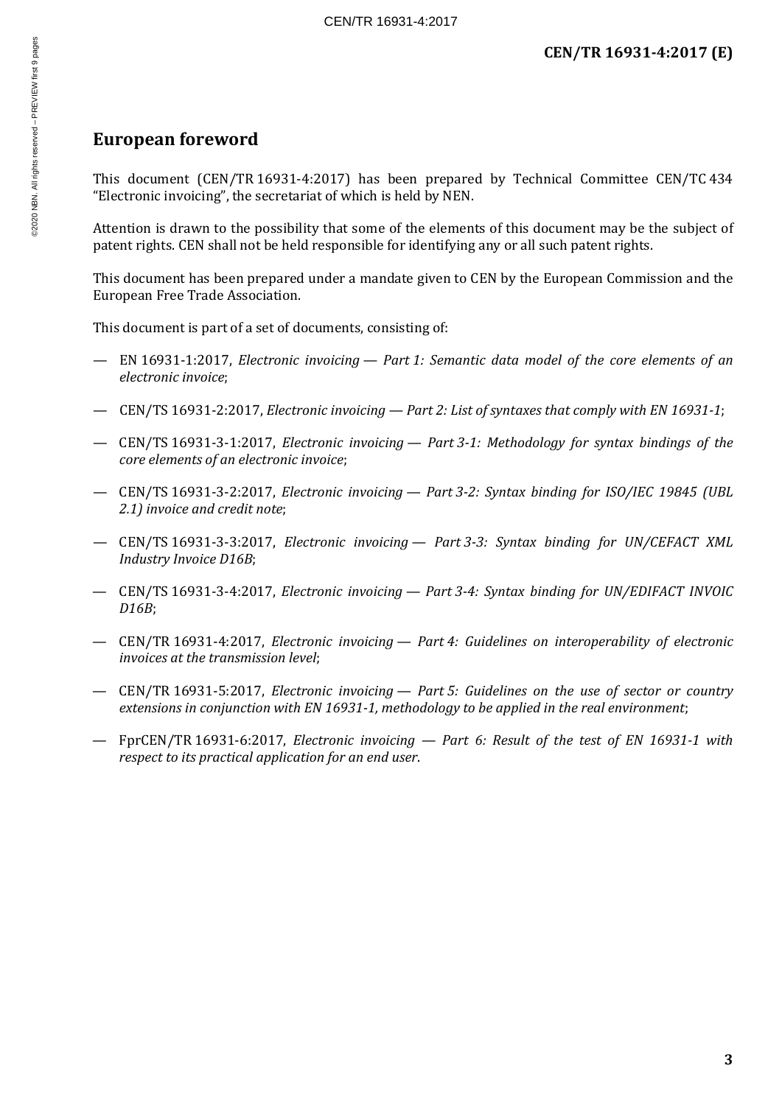#### **European foreword**

This document (CEN/TR 16931-4:2017) has been prepared by Technical Committee CEN/TC 434 "Electronic invoicing", the secretariat of which is held by NEN.

Attention is drawn to the possibility that some of the elements of this document may be the subject of patent rights. CEN shall not be held responsible for identifying any or all such patent rights.

This document has been prepared under a mandate given to CEN by the European Commission and the European Free Trade Association.

This document is part of a set of documents, consisting of:

- EN 16931-1:2017, *Electronic invoicing — Part 1: Semantic data model of the core elements of an electronic invoice*;
- CEN/TS 16931-2:2017, *Electronic invoicing — Part 2: List of syntaxes that comply with EN 16931-1*;
- CEN/TS 16931-3-1:2017, *Electronic invoicing — Part 3-1: Methodology for syntax bindings of the core elements of an electronic invoice*;
- CEN/TS 16931-3-2:2017, *Electronic invoicing — Part 3-2: Syntax binding for ISO/IEC 19845 (UBL 2.1) invoice and credit note*;
- CEN/TS 16931-3-3:2017, *Electronic invoicing — Part 3-3: Syntax binding for UN/CEFACT XML Industry Invoice D16B*;
- CEN/TS 16931-3-4:2017, *Electronic invoicing — Part 3-4: Syntax binding for UN/EDIFACT INVOIC D16B*;
- CEN/TR 16931-4:2017, *Electronic invoicing — Part 4: Guidelines on interoperability of electronic invoices at the transmission level*;
- CEN/TR 16931-5:2017, *Electronic invoicing — Part 5: Guidelines on the use of sector or country extensions in conjunction with EN 16931-1, methodology to be applied in the real environment*;
- FprCEN/TR 16931-6:2017, *Electronic invoicing — Part 6: Result of the test of EN 16931-1 with respect to its practical application for an end user*.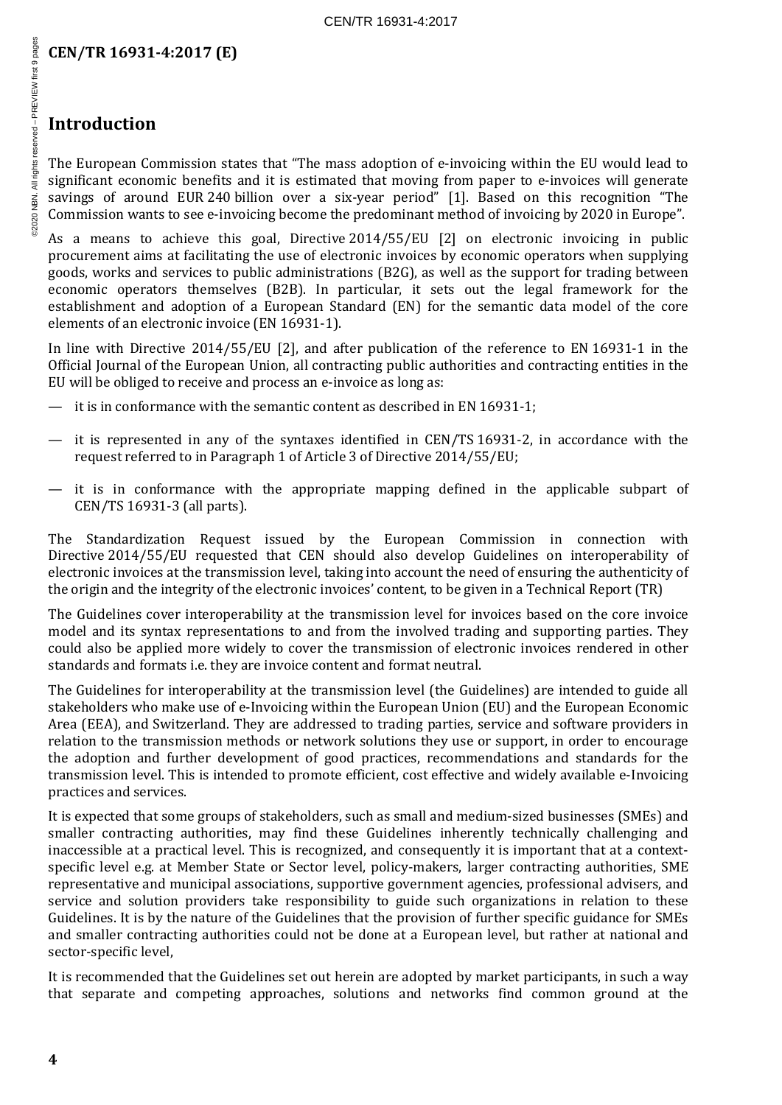#### **Introduction**

The European Commission states that "The mass adoption of e-invoicing within the EU would lead to significant economic benefits and it is estimated that moving from paper to e-invoices will generate savings of around EUR 240 billion over a six-year period" [1]. Based on this recognition "The Commission wants to see e-invoicing become the predominant method of invoicing by 2020 in Europe".

As a means to achieve this goal, Directive 2014/55/EU [2] on electronic invoicing in public procurement aims at facilitating the use of electronic invoices by economic operators when supplying goods, works and services to public administrations (B2G), as well as the support for trading between economic operators themselves (B2B). In particular, it sets out the legal framework for the establishment and adoption of a European Standard (EN) for the semantic data model of the core elements of an electronic invoice (EN 16931-1).

In line with Directive 2014/55/EU [2], and after publication of the reference to EN 16931-1 in the Official Journal of the European Union, all contracting public authorities and contracting entities in the EU will be obliged to receive and process an e-invoice as long as:

- it is in conformance with the semantic content as described in EN 16931-1;
- it is represented in any of the syntaxes identified in CEN/TS 16931-2, in accordance with the request referred to in Paragraph 1 of Article 3 of Directive 2014/55/EU;
- it is in conformance with the appropriate mapping defined in the applicable subpart of CEN/TS 16931-3 (all parts).

The Standardization Request issued by the European Commission in connection with Directive 2014/55/EU requested that CEN should also develop Guidelines on interoperability of electronic invoices at the transmission level, taking into account the need of ensuring the authenticity of the origin and the integrity of the electronic invoices' content, to be given in a Technical Report (TR)

The Guidelines cover interoperability at the transmission level for invoices based on the core invoice model and its syntax representations to and from the involved trading and supporting parties. They could also be applied more widely to cover the transmission of electronic invoices rendered in other standards and formats i.e. they are invoice content and format neutral.

The Guidelines for interoperability at the transmission level (the Guidelines) are intended to guide all stakeholders who make use of e-Invoicing within the European Union (EU) and the European Economic Area (EEA), and Switzerland. They are addressed to trading parties, service and software providers in relation to the transmission methods or network solutions they use or support, in order to encourage the adoption and further development of good practices, recommendations and standards for the transmission level. This is intended to promote efficient, cost effective and widely available e-Invoicing practices and services.

It is expected that some groups of stakeholders, such as small and medium-sized businesses (SMEs) and smaller contracting authorities, may find these Guidelines inherently technically challenging and inaccessible at a practical level. This is recognized, and consequently it is important that at a contextspecific level e.g. at Member State or Sector level, policy-makers, larger contracting authorities, SME representative and municipal associations, supportive government agencies, professional advisers, and service and solution providers take responsibility to guide such organizations in relation to these Guidelines. It is by the nature of the Guidelines that the provision of further specific guidance for SMEs and smaller contracting authorities could not be done at a European level, but rather at national and sector-specific level,

It is recommended that the Guidelines set out herein are adopted by market participants, in such a way that separate and competing approaches, solutions and networks find common ground at the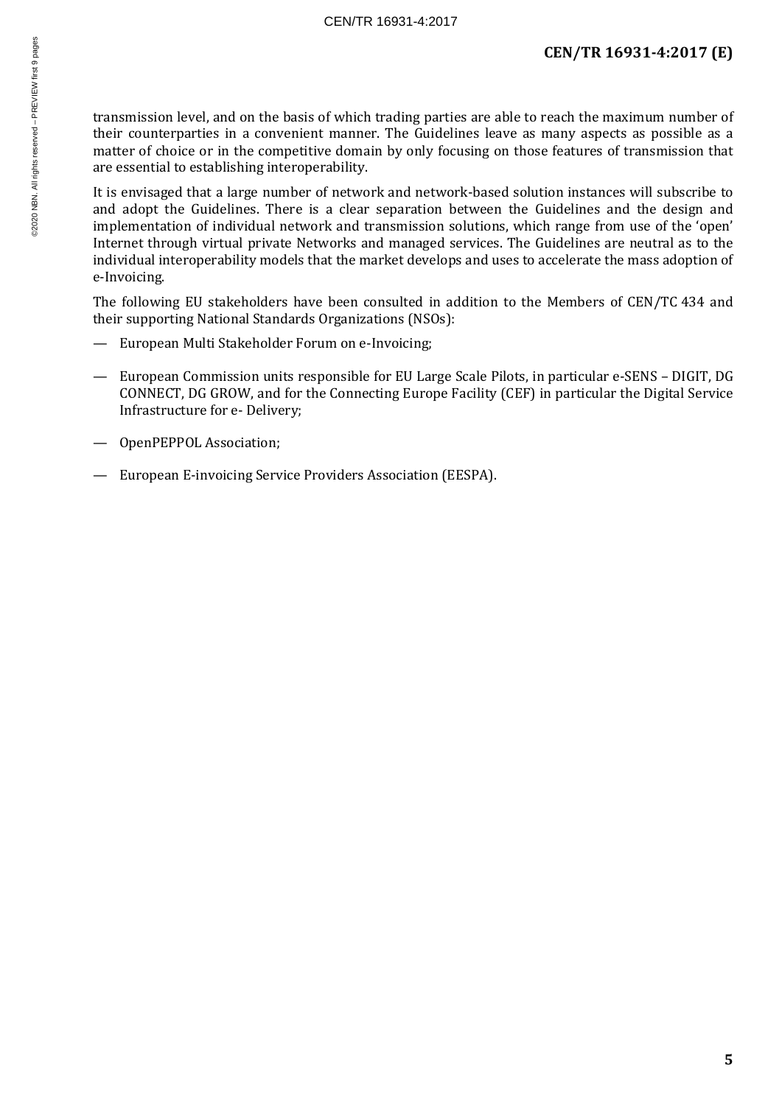#### CEN/TR 16931-4:2017

transmission level, and on the basis of which trading parties are able to reach the maximum number of their counterparties in a convenient manner. The Guidelines leave as many aspects as possible as a matter of choice or in the competitive domain by only focusing on those features of transmission that are essential to establishing interoperability.

It is envisaged that a large number of network and network-based solution instances will subscribe to and adopt the Guidelines. There is a clear separation between the Guidelines and the design and implementation of individual network and transmission solutions, which range from use of the 'open' Internet through virtual private Networks and managed services. The Guidelines are neutral as to the individual interoperability models that the market develops and uses to accelerate the mass adoption of e-Invoicing.

The following EU stakeholders have been consulted in addition to the Members of CEN/TC 434 and their supporting National Standards Organizations (NSOs):

- European Multi Stakeholder Forum on e-Invoicing;
- European Commission units responsible for EU Large Scale Pilots, in particular e-SENS DIGIT, DG CONNECT, DG GROW, and for the Connecting Europe Facility (CEF) in particular the Digital Service Infrastructure for e- Delivery;
- OpenPEPPOL Association;
- European E-invoicing Service Providers Association (EESPA).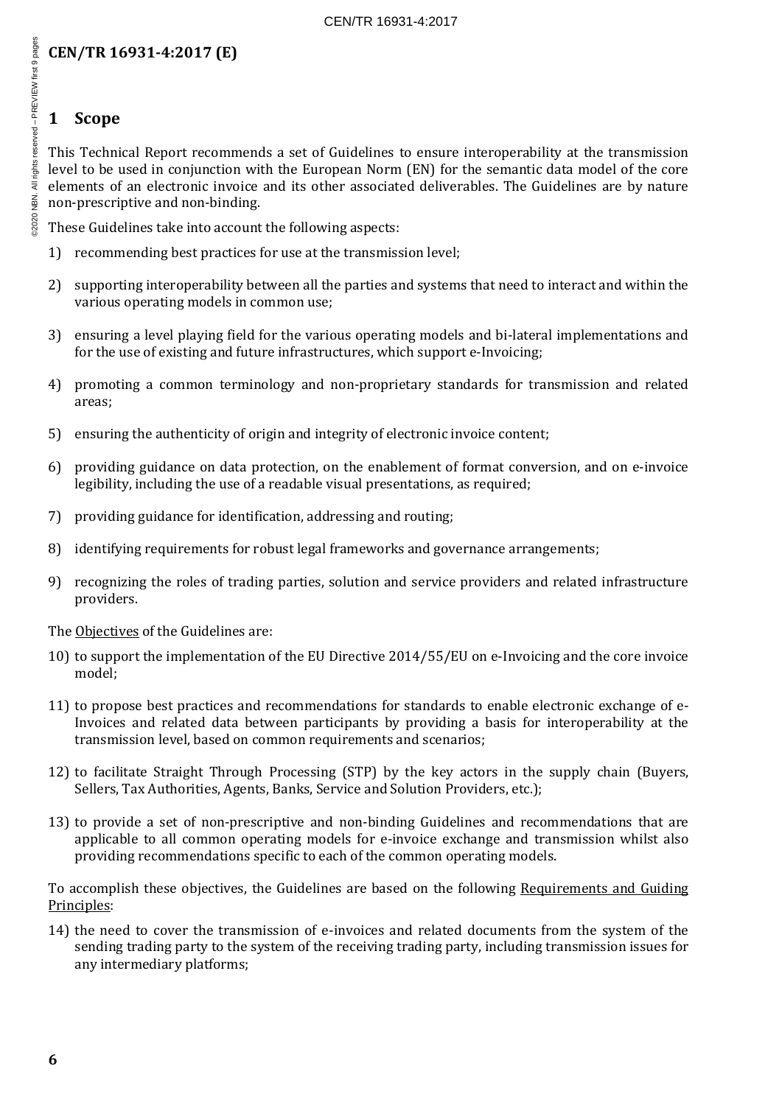#### **CEN/TR 16931-4:2017 (E)**

#### **1 Scope**

This Technical Report recommends a set of Guidelines to ensure interoperability at the transmission level to be used in conjunction with the European Norm (EN) for the semantic data model of the core elements of an electronic invoice and its other associated deliverables. The Guidelines are by nature non-prescriptive and non-binding.

These Guidelines take into account the following aspects:

- 1) recommending best practices for use at the transmission level;
- 2) supporting interoperability between all the parties and systems that need to interact and within the various operating models in common use;
- 3) ensuring a level playing field for the various operating models and bi-lateral implementations and for the use of existing and future infrastructures, which support e-Invoicing;
- 4) promoting a common terminology and non-proprietary standards for transmission and related areas;
- 5) ensuring the authenticity of origin and integrity of electronic invoice content;
- 6) providing guidance on data protection, on the enablement of format conversion, and on e-invoice legibility, including the use of a readable visual presentations, as required;
- 7) providing guidance for identification, addressing and routing;
- 8) identifying requirements for robust legal frameworks and governance arrangements;
- 9) recognizing the roles of trading parties, solution and service providers and related infrastructure providers.
- The Objectives of the Guidelines are:
- 10) to support the implementation of the EU Directive 2014/55/EU on e-Invoicing and the core invoice model;
- 11) to propose best practices and recommendations for standards to enable electronic exchange of e-Invoices and related data between participants by providing a basis for interoperability at the transmission level, based on common requirements and scenarios;
- 12) to facilitate Straight Through Processing (STP) by the key actors in the supply chain (Buyers, Sellers, Tax Authorities, Agents, Banks, Service and Solution Providers, etc.);
- 13) to provide a set of non-prescriptive and non-binding Guidelines and recommendations that are applicable to all common operating models for e-invoice exchange and transmission whilst also providing recommendations specific to each of the common operating models.

To accomplish these objectives, the Guidelines are based on the following Requirements and Guiding Principles:

14) the need to cover the transmission of e-invoices and related documents from the system of the sending trading party to the system of the receiving trading party, including transmission issues for any intermediary platforms;